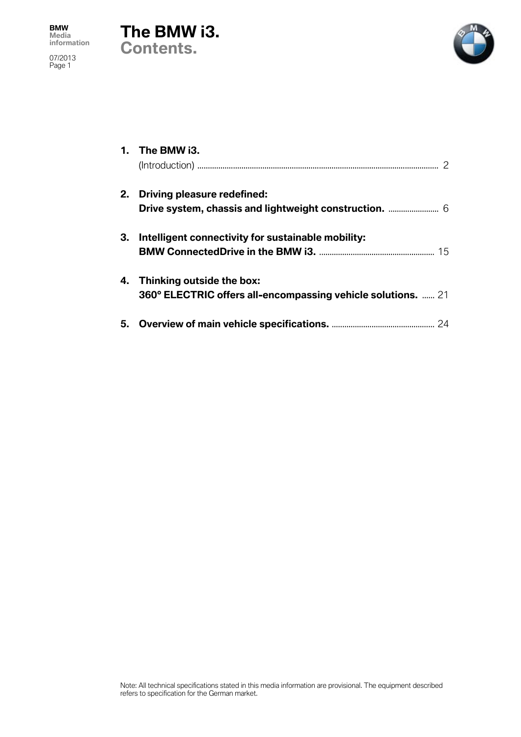





|    | 1. The BMW i3.                                                                                  |
|----|-------------------------------------------------------------------------------------------------|
|    | 2. Driving pleasure redefined:                                                                  |
| 3. | Intelligent connectivity for sustainable mobility:                                              |
| 4. | Thinking outside the box:<br><b>360° ELECTRIC offers all-encompassing vehicle solutions.</b> 21 |
|    |                                                                                                 |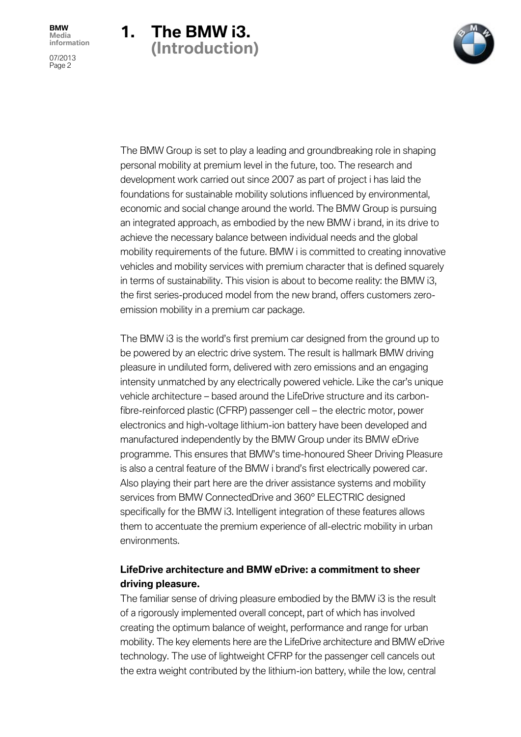



The BMW Group is set to play a leading and groundbreaking role in shaping personal mobility at premium level in the future, too. The research and development work carried out since 2007 as part of project i has laid the foundations for sustainable mobility solutions influenced by environmental, economic and social change around the world. The BMW Group is pursuing an integrated approach, as embodied by the new BMW i brand, in its drive to achieve the necessary balance between individual needs and the global mobility requirements of the future. BMW i is committed to creating innovative vehicles and mobility services with premium character that is defined squarely in terms of sustainability. This vision is about to become reality: the BMW i3, the first series-produced model from the new brand, offers customers zeroemission mobility in a premium car package.

The BMW i3 is the world's first premium car designed from the ground up to be powered by an electric drive system. The result is hallmark BMW driving pleasure in undiluted form, delivered with zero emissions and an engaging intensity unmatched by any electrically powered vehicle. Like the car's unique vehicle architecture – based around the LifeDrive structure and its carbonfibre-reinforced plastic (CFRP) passenger cell – the electric motor, power electronics and high-voltage lithium-ion battery have been developed and manufactured independently by the BMW Group under its BMW eDrive programme. This ensures that BMW's time-honoured Sheer Driving Pleasure is also a central feature of the BMW i brand's first electrically powered car. Also playing their part here are the driver assistance systems and mobility services from BMW ConnectedDrive and 360° ELECTRIC designed specifically for the BMW i3. Intelligent integration of these features allows them to accentuate the premium experience of all-electric mobility in urban environments.

## **LifeDrive architecture and BMW eDrive: a commitment to sheer driving pleasure.**

The familiar sense of driving pleasure embodied by the BMW i3 is the result of a rigorously implemented overall concept, part of which has involved creating the optimum balance of weight, performance and range for urban mobility. The key elements here are the LifeDrive architecture and BMW eDrive technology. The use of lightweight CFRP for the passenger cell cancels out the extra weight contributed by the lithium-ion battery, while the low, central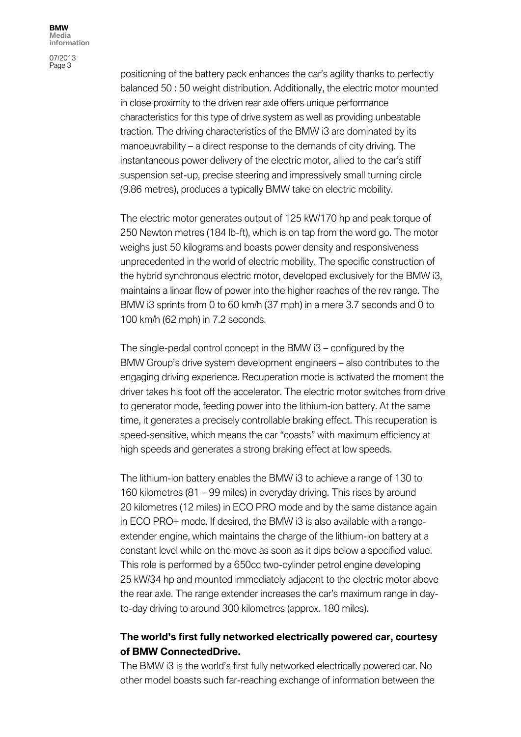07/2013 Page 3

positioning of the battery pack enhances the car's agility thanks to perfectly balanced 50 : 50 weight distribution. Additionally, the electric motor mounted in close proximity to the driven rear axle offers unique performance characteristics for this type of drive system as well as providing unbeatable traction. The driving characteristics of the BMW i3 are dominated by its manoeuvrability – a direct response to the demands of city driving. The instantaneous power delivery of the electric motor, allied to the car's stiff suspension set-up, precise steering and impressively small turning circle (9.86 metres), produces a typically BMW take on electric mobility.

The electric motor generates output of 125 kW/170 hp and peak torque of 250 Newton metres (184 lb-ft), which is on tap from the word go. The motor weighs just 50 kilograms and boasts power density and responsiveness unprecedented in the world of electric mobility. The specific construction of the hybrid synchronous electric motor, developed exclusively for the BMW i3, maintains a linear flow of power into the higher reaches of the rev range. The BMW i3 sprints from 0 to 60 km/h (37 mph) in a mere 3.7 seconds and 0 to 100 km/h (62 mph) in 7.2 seconds.

The single-pedal control concept in the BMW i3 – configured by the BMW Group's drive system development engineers – also contributes to the engaging driving experience. Recuperation mode is activated the moment the driver takes his foot off the accelerator. The electric motor switches from drive to generator mode, feeding power into the lithium-ion battery. At the same time, it generates a precisely controllable braking effect. This recuperation is speed-sensitive, which means the car "coasts" with maximum efficiency at high speeds and generates a strong braking effect at low speeds.

The lithium-ion battery enables the BMW i3 to achieve a range of 130 to 160 kilometres (81 – 99 miles) in everyday driving. This rises by around 20 kilometres (12 miles) in ECO PRO mode and by the same distance again in ECO PRO+ mode. If desired, the BMW i3 is also available with a rangeextender engine, which maintains the charge of the lithium-ion battery at a constant level while on the move as soon as it dips below a specified value. This role is performed by a 650cc two-cylinder petrol engine developing 25 kW/34 hp and mounted immediately adjacent to the electric motor above the rear axle. The range extender increases the car's maximum range in dayto-day driving to around 300 kilometres (approx. 180 miles).

## **The world's first fully networked electrically powered car, courtesy of BMW ConnectedDrive.**

The BMW i3 is the world's first fully networked electrically powered car. No other model boasts such far-reaching exchange of information between the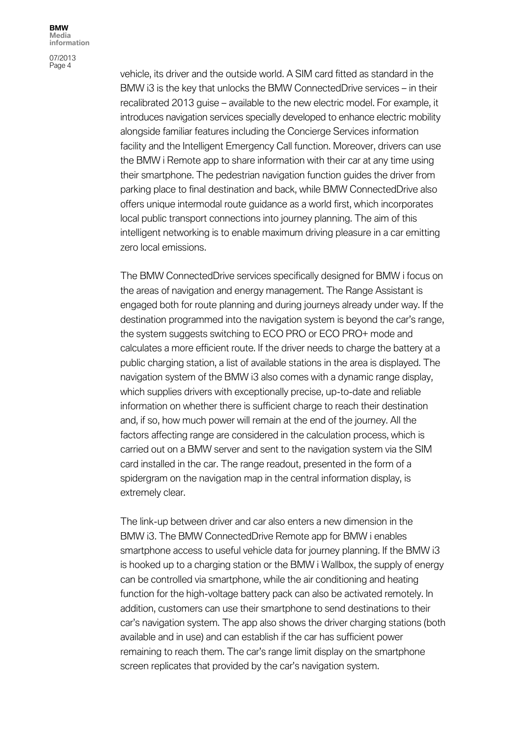07/2013 Page 4

vehicle, its driver and the outside world. A SIM card fitted as standard in the BMW i3 is the key that unlocks the BMW ConnectedDrive services – in their recalibrated 2013 guise – available to the new electric model. For example, it introduces navigation services specially developed to enhance electric mobility alongside familiar features including the Concierge Services information facility and the Intelligent Emergency Call function. Moreover, drivers can use the BMW i Remote app to share information with their car at any time using their smartphone. The pedestrian navigation function guides the driver from parking place to final destination and back, while BMW ConnectedDrive also offers unique intermodal route guidance as a world first, which incorporates local public transport connections into journey planning. The aim of this intelligent networking is to enable maximum driving pleasure in a car emitting zero local emissions.

The BMW ConnectedDrive services specifically designed for BMW i focus on the areas of navigation and energy management. The Range Assistant is engaged both for route planning and during journeys already under way. If the destination programmed into the navigation system is beyond the car's range, the system suggests switching to ECO PRO or ECO PRO+ mode and calculates a more efficient route. If the driver needs to charge the battery at a public charging station, a list of available stations in the area is displayed. The navigation system of the BMW i3 also comes with a dynamic range display, which supplies drivers with exceptionally precise, up-to-date and reliable information on whether there is sufficient charge to reach their destination and, if so, how much power will remain at the end of the journey. All the factors affecting range are considered in the calculation process, which is carried out on a BMW server and sent to the navigation system via the SIM card installed in the car. The range readout, presented in the form of a spidergram on the navigation map in the central information display, is extremely clear.

The link-up between driver and car also enters a new dimension in the BMW i3. The BMW ConnectedDrive Remote app for BMW i enables smartphone access to useful vehicle data for journey planning. If the BMW i3 is hooked up to a charging station or the BMW i Wallbox, the supply of energy can be controlled via smartphone, while the air conditioning and heating function for the high-voltage battery pack can also be activated remotely. In addition, customers can use their smartphone to send destinations to their car's navigation system. The app also shows the driver charging stations (both available and in use) and can establish if the car has sufficient power remaining to reach them. The car's range limit display on the smartphone screen replicates that provided by the car's navigation system.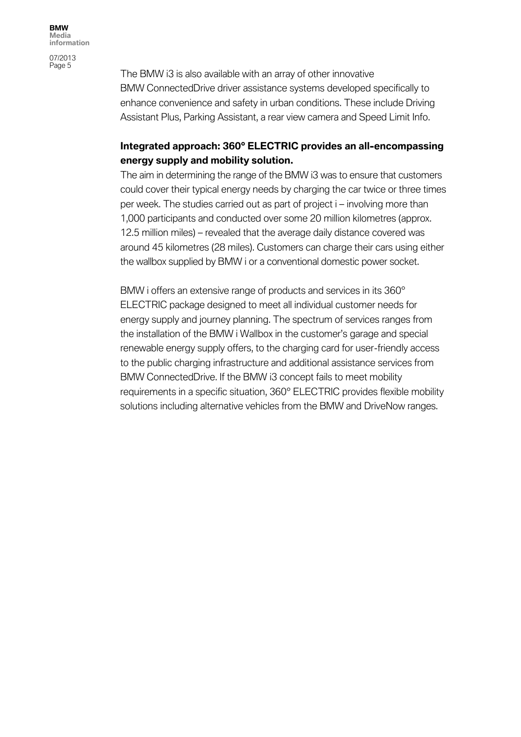The BMW i3 is also available with an array of other innovative BMW ConnectedDrive driver assistance systems developed specifically to enhance convenience and safety in urban conditions. These include Driving Assistant Plus, Parking Assistant, a rear view camera and Speed Limit Info.

## **Integrated approach: 360° ELECTRIC provides an all-encompassing energy supply and mobility solution.**

The aim in determining the range of the BMW i3 was to ensure that customers could cover their typical energy needs by charging the car twice or three times per week. The studies carried out as part of project i – involving more than 1,000 participants and conducted over some 20 million kilometres (approx. 12.5 million miles) – revealed that the average daily distance covered was around 45 kilometres (28 miles). Customers can charge their cars using either the wallbox supplied by BMW i or a conventional domestic power socket.

BMW i offers an extensive range of products and services in its 360° ELECTRIC package designed to meet all individual customer needs for energy supply and journey planning. The spectrum of services ranges from the installation of the BMW i Wallbox in the customer's garage and special renewable energy supply offers, to the charging card for user-friendly access to the public charging infrastructure and additional assistance services from BMW ConnectedDrive. If the BMW i3 concept fails to meet mobility requirements in a specific situation, 360° ELECTRIC provides flexible mobility solutions including alternative vehicles from the BMW and DriveNow ranges.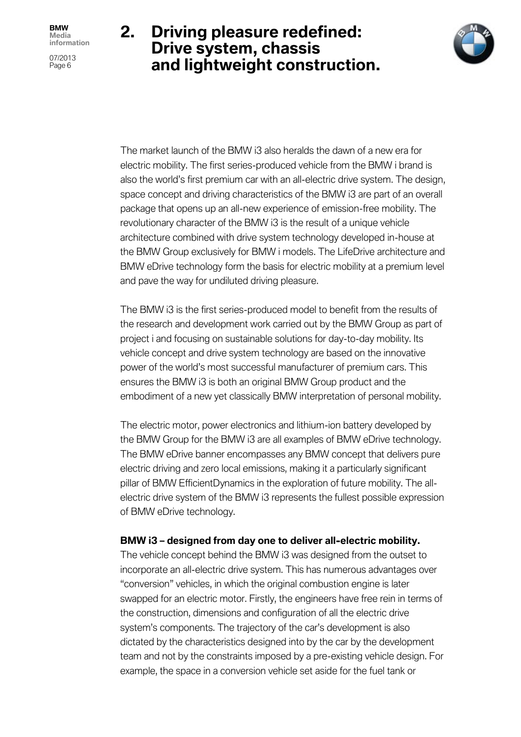07/2013 Page 6

# **2. Driving pleasure redefined: Drive system, chassis and lightweight construction.**



The market launch of the BMW i3 also heralds the dawn of a new era for electric mobility. The first series-produced vehicle from the BMW i brand is also the world's first premium car with an all-electric drive system. The design, space concept and driving characteristics of the BMW i3 are part of an overall package that opens up an all-new experience of emission-free mobility. The revolutionary character of the BMW i3 is the result of a unique vehicle architecture combined with drive system technology developed in-house at the BMW Group exclusively for BMW i models. The LifeDrive architecture and BMW eDrive technology form the basis for electric mobility at a premium level and pave the way for undiluted driving pleasure.

The BMW i3 is the first series-produced model to benefit from the results of the research and development work carried out by the BMW Group as part of project i and focusing on sustainable solutions for day-to-day mobility. Its vehicle concept and drive system technology are based on the innovative power of the world's most successful manufacturer of premium cars. This ensures the BMW i3 is both an original BMW Group product and the embodiment of a new yet classically BMW interpretation of personal mobility.

The electric motor, power electronics and lithium-ion battery developed by the BMW Group for the BMW i3 are all examples of BMW eDrive technology. The BMW eDrive banner encompasses any BMW concept that delivers pure electric driving and zero local emissions, making it a particularly significant pillar of BMW EfficientDynamics in the exploration of future mobility. The allelectric drive system of the BMW i3 represents the fullest possible expression of BMW eDrive technology.

### **BMW i3 – designed from day one to deliver all-electric mobility.**

The vehicle concept behind the BMW i3 was designed from the outset to incorporate an all-electric drive system. This has numerous advantages over "conversion" vehicles, in which the original combustion engine is later swapped for an electric motor. Firstly, the engineers have free rein in terms of the construction, dimensions and configuration of all the electric drive system's components. The trajectory of the car's development is also dictated by the characteristics designed into by the car by the development team and not by the constraints imposed by a pre-existing vehicle design. For example, the space in a conversion vehicle set aside for the fuel tank or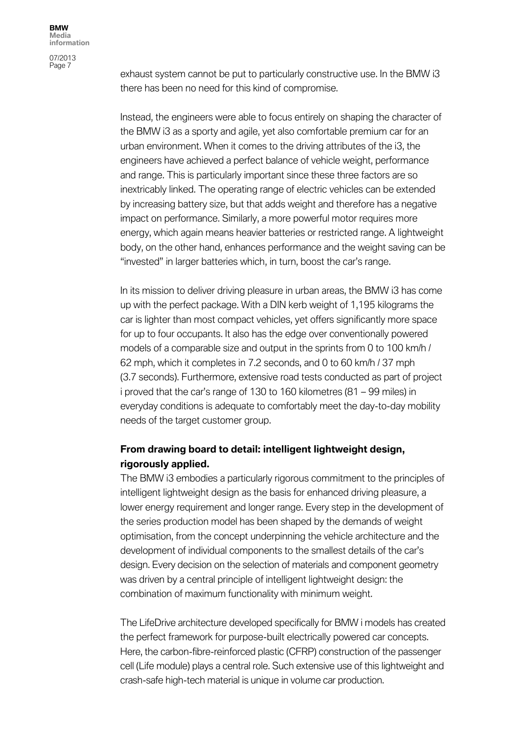07/2013 Page 7

exhaust system cannot be put to particularly constructive use. In the BMW i3 there has been no need for this kind of compromise.

Instead, the engineers were able to focus entirely on shaping the character of the BMW i3 as a sporty and agile, yet also comfortable premium car for an urban environment. When it comes to the driving attributes of the i3, the engineers have achieved a perfect balance of vehicle weight, performance and range. This is particularly important since these three factors are so inextricably linked. The operating range of electric vehicles can be extended by increasing battery size, but that adds weight and therefore has a negative impact on performance. Similarly, a more powerful motor requires more energy, which again means heavier batteries or restricted range. A lightweight body, on the other hand, enhances performance and the weight saving can be "invested" in larger batteries which, in turn, boost the car's range.

In its mission to deliver driving pleasure in urban areas, the BMW i3 has come up with the perfect package. With a DIN kerb weight of 1,195 kilograms the car is lighter than most compact vehicles, yet offers significantly more space for up to four occupants. It also has the edge over conventionally powered models of a comparable size and output in the sprints from 0 to 100 km/h / 62 mph, which it completes in 7.2 seconds, and 0 to 60 km/h / 37 mph (3.7 seconds). Furthermore, extensive road tests conducted as part of project i proved that the car's range of 130 to 160 kilometres (81 – 99 miles) in everyday conditions is adequate to comfortably meet the day-to-day mobility needs of the target customer group.

## **From drawing board to detail: intelligent lightweight design, rigorously applied.**

The BMW i3 embodies a particularly rigorous commitment to the principles of intelligent lightweight design as the basis for enhanced driving pleasure, a lower energy requirement and longer range. Every step in the development of the series production model has been shaped by the demands of weight optimisation, from the concept underpinning the vehicle architecture and the development of individual components to the smallest details of the car's design. Every decision on the selection of materials and component geometry was driven by a central principle of intelligent lightweight design: the combination of maximum functionality with minimum weight.

The LifeDrive architecture developed specifically for BMW i models has created the perfect framework for purpose-built electrically powered car concepts. Here, the carbon-fibre-reinforced plastic (CFRP) construction of the passenger cell (Life module) plays a central role. Such extensive use of this lightweight and crash-safe high-tech material is unique in volume car production.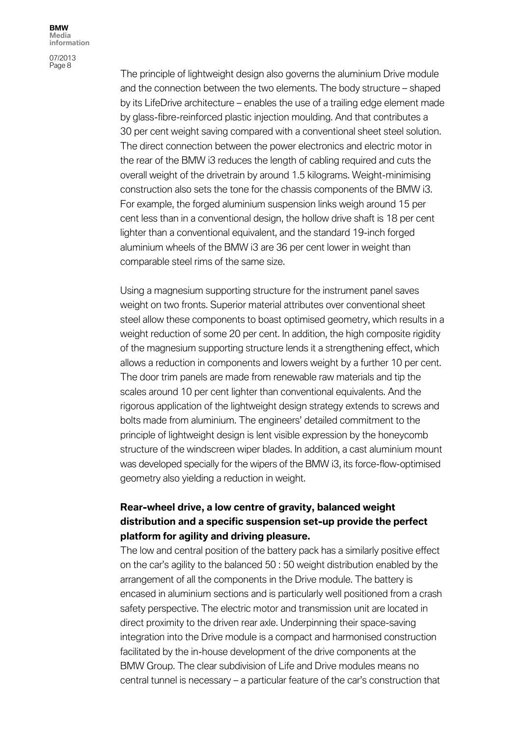07/2013 Page 8

The principle of lightweight design also governs the aluminium Drive module and the connection between the two elements. The body structure – shaped by its LifeDrive architecture – enables the use of a trailing edge element made by glass-fibre-reinforced plastic injection moulding. And that contributes a 30 per cent weight saving compared with a conventional sheet steel solution. The direct connection between the power electronics and electric motor in the rear of the BMW i3 reduces the length of cabling required and cuts the overall weight of the drivetrain by around 1.5 kilograms. Weight-minimising construction also sets the tone for the chassis components of the BMW i3. For example, the forged aluminium suspension links weigh around 15 per cent less than in a conventional design, the hollow drive shaft is 18 per cent lighter than a conventional equivalent, and the standard 19-inch forged aluminium wheels of the BMW i3 are 36 per cent lower in weight than comparable steel rims of the same size.

Using a magnesium supporting structure for the instrument panel saves weight on two fronts. Superior material attributes over conventional sheet steel allow these components to boast optimised geometry, which results in a weight reduction of some 20 per cent. In addition, the high composite rigidity of the magnesium supporting structure lends it a strengthening effect, which allows a reduction in components and lowers weight by a further 10 per cent. The door trim panels are made from renewable raw materials and tip the scales around 10 per cent lighter than conventional equivalents. And the rigorous application of the lightweight design strategy extends to screws and bolts made from aluminium. The engineers' detailed commitment to the principle of lightweight design is lent visible expression by the honeycomb structure of the windscreen wiper blades. In addition, a cast aluminium mount was developed specially for the wipers of the BMW i3, its force-flow-optimised geometry also yielding a reduction in weight.

## **Rear-wheel drive, a low centre of gravity, balanced weight distribution and a specific suspension set-up provide the perfect platform for agility and driving pleasure.**

The low and central position of the battery pack has a similarly positive effect on the car's agility to the balanced 50 : 50 weight distribution enabled by the arrangement of all the components in the Drive module. The battery is encased in aluminium sections and is particularly well positioned from a crash safety perspective. The electric motor and transmission unit are located in direct proximity to the driven rear axle. Underpinning their space-saving integration into the Drive module is a compact and harmonised construction facilitated by the in-house development of the drive components at the BMW Group. The clear subdivision of Life and Drive modules means no central tunnel is necessary – a particular feature of the car's construction that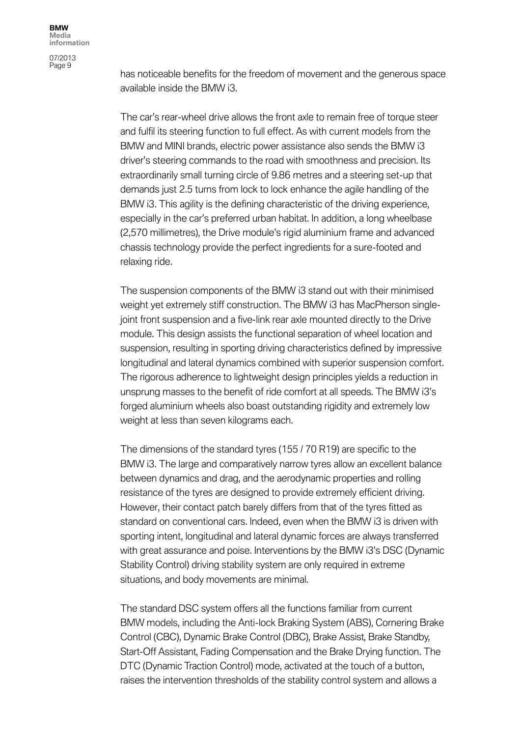07/2013 Page 9

has noticeable benefits for the freedom of movement and the generous space available inside the BMW i3.

The car's rear-wheel drive allows the front axle to remain free of torque steer and fulfil its steering function to full effect. As with current models from the BMW and MINI brands, electric power assistance also sends the BMW i3 driver's steering commands to the road with smoothness and precision. Its extraordinarily small turning circle of 9.86 metres and a steering set-up that demands just 2.5 turns from lock to lock enhance the agile handling of the BMW i3. This agility is the defining characteristic of the driving experience, especially in the car's preferred urban habitat. In addition, a long wheelbase (2,570 millimetres), the Drive module's rigid aluminium frame and advanced chassis technology provide the perfect ingredients for a sure-footed and relaxing ride.

The suspension components of the BMW i3 stand out with their minimised weight yet extremely stiff construction. The BMW i3 has MacPherson singlejoint front suspension and a five-link rear axle mounted directly to the Drive module. This design assists the functional separation of wheel location and suspension, resulting in sporting driving characteristics defined by impressive longitudinal and lateral dynamics combined with superior suspension comfort. The rigorous adherence to lightweight design principles yields a reduction in unsprung masses to the benefit of ride comfort at all speeds. The BMW i3's forged aluminium wheels also boast outstanding rigidity and extremely low weight at less than seven kilograms each.

The dimensions of the standard tyres (155 / 70 R19) are specific to the BMW i3. The large and comparatively narrow tyres allow an excellent balance between dynamics and drag, and the aerodynamic properties and rolling resistance of the tyres are designed to provide extremely efficient driving. However, their contact patch barely differs from that of the tyres fitted as standard on conventional cars. Indeed, even when the BMW i3 is driven with sporting intent, longitudinal and lateral dynamic forces are always transferred with great assurance and poise. Interventions by the BMW i3's DSC (Dynamic Stability Control) driving stability system are only required in extreme situations, and body movements are minimal.

The standard DSC system offers all the functions familiar from current BMW models, including the Anti-lock Braking System (ABS), Cornering Brake Control (CBC), Dynamic Brake Control (DBC), Brake Assist, Brake Standby, Start-Off Assistant, Fading Compensation and the Brake Drying function. The DTC (Dynamic Traction Control) mode, activated at the touch of a button, raises the intervention thresholds of the stability control system and allows a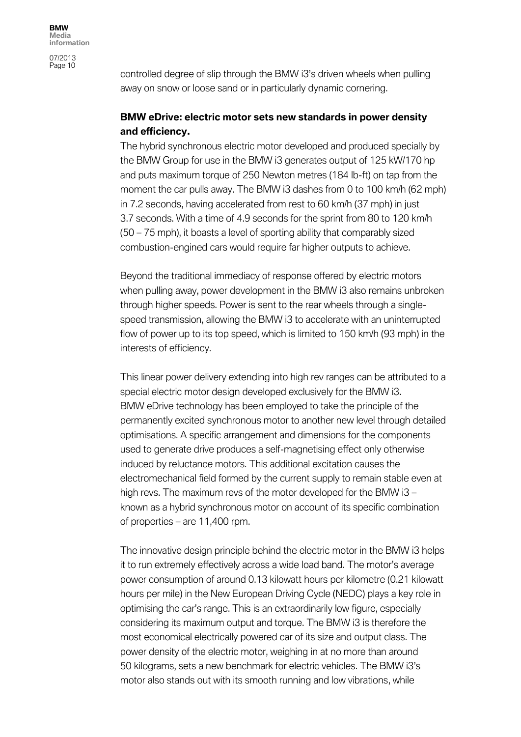controlled degree of slip through the BMW i3's driven wheels when pulling away on snow or loose sand or in particularly dynamic cornering.

## **BMW eDrive: electric motor sets new standards in power density and efficiency.**

The hybrid synchronous electric motor developed and produced specially by the BMW Group for use in the BMW i3 generates output of 125 kW/170 hp and puts maximum torque of 250 Newton metres (184 lb-ft) on tap from the moment the car pulls away. The BMW i3 dashes from 0 to 100 km/h (62 mph) in 7.2 seconds, having accelerated from rest to 60 km/h (37 mph) in just 3.7 seconds. With a time of 4.9 seconds for the sprint from 80 to 120 km/h (50 – 75 mph), it boasts a level of sporting ability that comparably sized combustion-engined cars would require far higher outputs to achieve.

Beyond the traditional immediacy of response offered by electric motors when pulling away, power development in the BMW i3 also remains unbroken through higher speeds. Power is sent to the rear wheels through a singlespeed transmission, allowing the BMW i3 to accelerate with an uninterrupted flow of power up to its top speed, which is limited to 150 km/h (93 mph) in the interests of efficiency.

This linear power delivery extending into high rev ranges can be attributed to a special electric motor design developed exclusively for the BMW i3. BMW eDrive technology has been employed to take the principle of the permanently excited synchronous motor to another new level through detailed optimisations. A specific arrangement and dimensions for the components used to generate drive produces a self-magnetising effect only otherwise induced by reluctance motors. This additional excitation causes the electromechanical field formed by the current supply to remain stable even at high revs. The maximum revs of the motor developed for the BMW i3 – known as a hybrid synchronous motor on account of its specific combination of properties – are 11,400 rpm.

The innovative design principle behind the electric motor in the BMW i3 helps it to run extremely effectively across a wide load band. The motor's average power consumption of around 0.13 kilowatt hours per kilometre (0.21 kilowatt hours per mile) in the New European Driving Cycle (NEDC) plays a key role in optimising the car's range. This is an extraordinarily low figure, especially considering its maximum output and torque. The BMW i3 is therefore the most economical electrically powered car of its size and output class. The power density of the electric motor, weighing in at no more than around 50 kilograms, sets a new benchmark for electric vehicles. The BMW i3's motor also stands out with its smooth running and low vibrations, while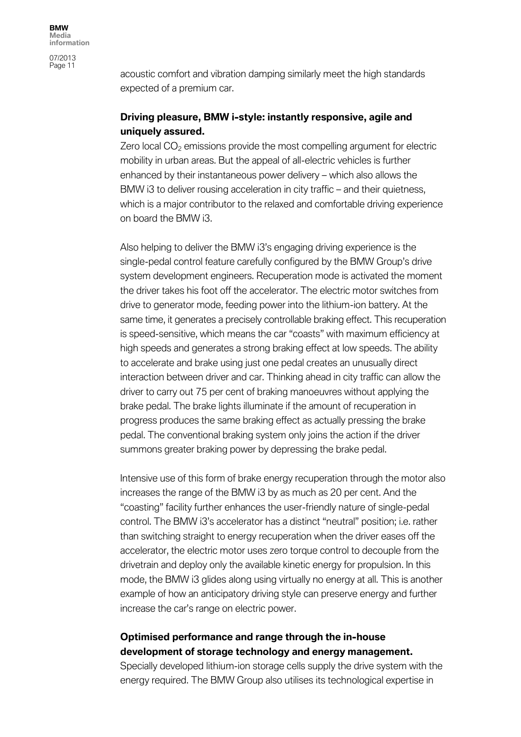acoustic comfort and vibration damping similarly meet the high standards expected of a premium car.

## **Driving pleasure, BMW i-style: instantly responsive, agile and uniquely assured.**

Zero local  $CO<sub>2</sub>$  emissions provide the most compelling argument for electric mobility in urban areas. But the appeal of all-electric vehicles is further enhanced by their instantaneous power delivery – which also allows the BMW i3 to deliver rousing acceleration in city traffic – and their quietness, which is a major contributor to the relaxed and comfortable driving experience on board the BMW i3.

Also helping to deliver the BMW i3's engaging driving experience is the single-pedal control feature carefully configured by the BMW Group's drive system development engineers. Recuperation mode is activated the moment the driver takes his foot off the accelerator. The electric motor switches from drive to generator mode, feeding power into the lithium-ion battery. At the same time, it generates a precisely controllable braking effect. This recuperation is speed-sensitive, which means the car "coasts" with maximum efficiency at high speeds and generates a strong braking effect at low speeds. The ability to accelerate and brake using just one pedal creates an unusually direct interaction between driver and car. Thinking ahead in city traffic can allow the driver to carry out 75 per cent of braking manoeuvres without applying the brake pedal. The brake lights illuminate if the amount of recuperation in progress produces the same braking effect as actually pressing the brake pedal. The conventional braking system only joins the action if the driver summons greater braking power by depressing the brake pedal.

Intensive use of this form of brake energy recuperation through the motor also increases the range of the BMW i3 by as much as 20 per cent. And the "coasting" facility further enhances the user-friendly nature of single-pedal control. The BMW i3's accelerator has a distinct "neutral" position; i.e. rather than switching straight to energy recuperation when the driver eases off the accelerator, the electric motor uses zero torque control to decouple from the drivetrain and deploy only the available kinetic energy for propulsion. In this mode, the BMW i3 glides along using virtually no energy at all. This is another example of how an anticipatory driving style can preserve energy and further increase the car's range on electric power.

## **Optimised performance and range through the in-house development of storage technology and energy management.**

Specially developed lithium-ion storage cells supply the drive system with the energy required. The BMW Group also utilises its technological expertise in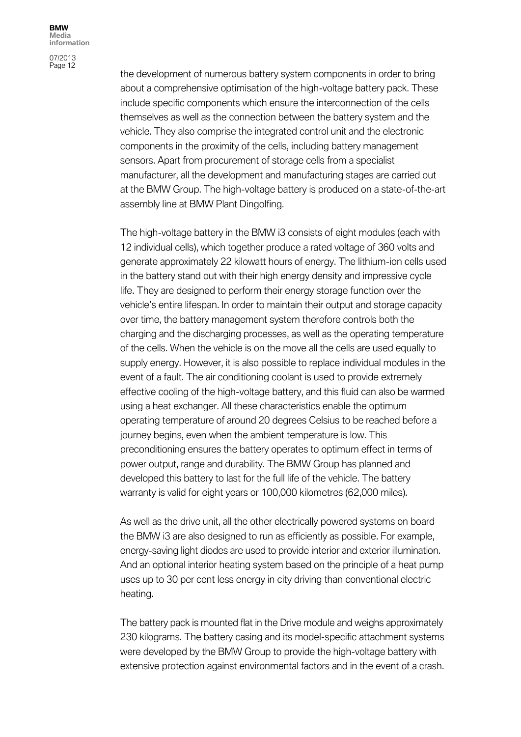07/2013 Page 12

the development of numerous battery system components in order to bring about a comprehensive optimisation of the high-voltage battery pack. These include specific components which ensure the interconnection of the cells themselves as well as the connection between the battery system and the vehicle. They also comprise the integrated control unit and the electronic components in the proximity of the cells, including battery management sensors. Apart from procurement of storage cells from a specialist manufacturer, all the development and manufacturing stages are carried out at the BMW Group. The high-voltage battery is produced on a state-of-the-art assembly line at BMW Plant Dingolfing.

The high-voltage battery in the BMW i3 consists of eight modules (each with 12 individual cells), which together produce a rated voltage of 360 volts and generate approximately 22 kilowatt hours of energy. The lithium-ion cells used in the battery stand out with their high energy density and impressive cycle life. They are designed to perform their energy storage function over the vehicle's entire lifespan. In order to maintain their output and storage capacity over time, the battery management system therefore controls both the charging and the discharging processes, as well as the operating temperature of the cells. When the vehicle is on the move all the cells are used equally to supply energy. However, it is also possible to replace individual modules in the event of a fault. The air conditioning coolant is used to provide extremely effective cooling of the high-voltage battery, and this fluid can also be warmed using a heat exchanger. All these characteristics enable the optimum operating temperature of around 20 degrees Celsius to be reached before a journey begins, even when the ambient temperature is low. This preconditioning ensures the battery operates to optimum effect in terms of power output, range and durability. The BMW Group has planned and developed this battery to last for the full life of the vehicle. The battery warranty is valid for eight years or 100,000 kilometres (62,000 miles).

As well as the drive unit, all the other electrically powered systems on board the BMW i3 are also designed to run as efficiently as possible. For example, energy-saving light diodes are used to provide interior and exterior illumination. And an optional interior heating system based on the principle of a heat pump uses up to 30 per cent less energy in city driving than conventional electric heating.

The battery pack is mounted flat in the Drive module and weighs approximately 230 kilograms. The battery casing and its model-specific attachment systems were developed by the BMW Group to provide the high-voltage battery with extensive protection against environmental factors and in the event of a crash.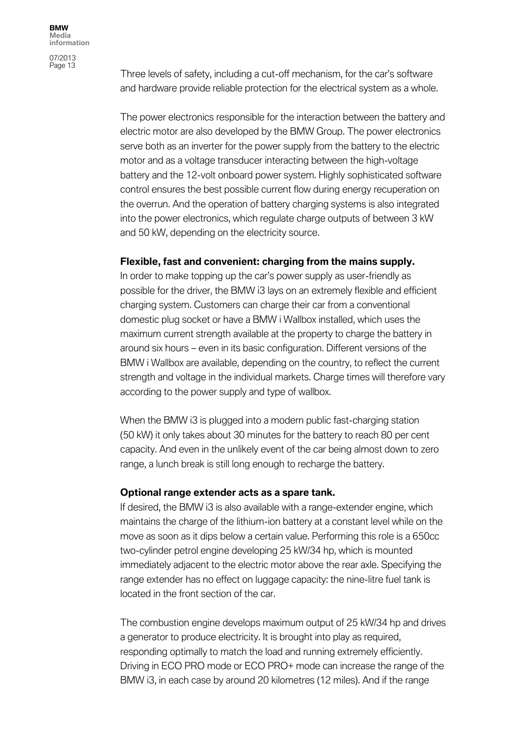Three levels of safety, including a cut-off mechanism, for the car's software and hardware provide reliable protection for the electrical system as a whole.

The power electronics responsible for the interaction between the battery and electric motor are also developed by the BMW Group. The power electronics serve both as an inverter for the power supply from the battery to the electric motor and as a voltage transducer interacting between the high-voltage battery and the 12-volt onboard power system. Highly sophisticated software control ensures the best possible current flow during energy recuperation on the overrun. And the operation of battery charging systems is also integrated into the power electronics, which regulate charge outputs of between 3 kW and 50 kW, depending on the electricity source.

#### **Flexible, fast and convenient: charging from the mains supply.**

In order to make topping up the car's power supply as user-friendly as possible for the driver, the BMW i3 lays on an extremely flexible and efficient charging system. Customers can charge their car from a conventional domestic plug socket or have a BMW i Wallbox installed, which uses the maximum current strength available at the property to charge the battery in around six hours – even in its basic configuration. Different versions of the BMW i Wallbox are available, depending on the country, to reflect the current strength and voltage in the individual markets. Charge times will therefore vary according to the power supply and type of wallbox.

When the BMW i3 is plugged into a modern public fast-charging station (50 kW) it only takes about 30 minutes for the battery to reach 80 per cent capacity. And even in the unlikely event of the car being almost down to zero range, a lunch break is still long enough to recharge the battery.

#### **Optional range extender acts as a spare tank.**

If desired, the BMW i3 is also available with a range-extender engine, which maintains the charge of the lithium-ion battery at a constant level while on the move as soon as it dips below a certain value. Performing this role is a 650cc two-cylinder petrol engine developing 25 kW/34 hp, which is mounted immediately adjacent to the electric motor above the rear axle. Specifying the range extender has no effect on luggage capacity: the nine-litre fuel tank is located in the front section of the car.

The combustion engine develops maximum output of 25 kW/34 hp and drives a generator to produce electricity. It is brought into play as required, responding optimally to match the load and running extremely efficiently. Driving in ECO PRO mode or ECO PRO+ mode can increase the range of the BMW i3, in each case by around 20 kilometres (12 miles). And if the range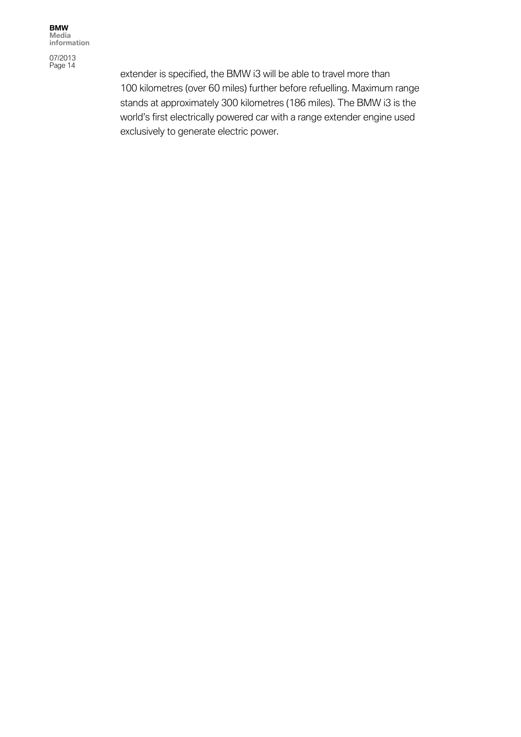07/2013 Page 14

extender is specified, the BMW i3 will be able to travel more than 100 kilometres (over 60 miles) further before refuelling. Maximum range stands at approximately 300 kilometres (186 miles). The BMW i3 is the world's first electrically powered car with a range extender engine used exclusively to generate electric power.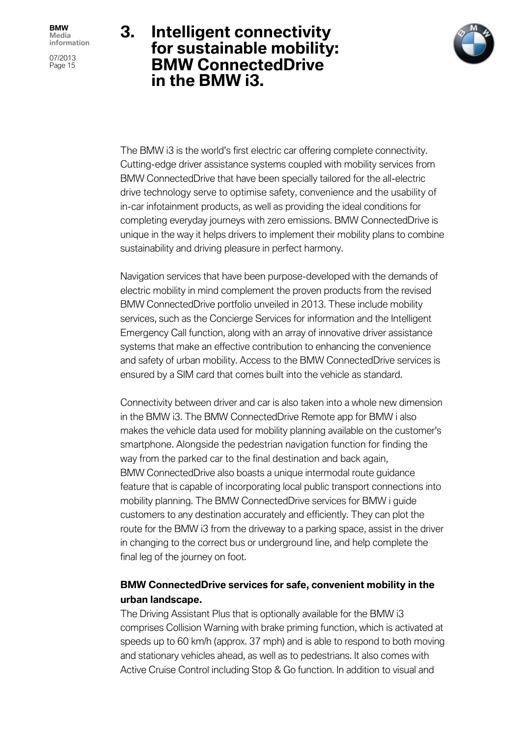07/2013 Page 15

# **3. Intelligent connectivity for sustainable mobility: BMW ConnectedDrive in the BMW i3.**



The BMW i3 is the world's first electric car offering complete connectivity. Cutting-edge driver assistance systems coupled with mobility services from BMW ConnectedDrive that have been specially tailored for the all-electric drive technology serve to optimise safety, convenience and the usability of in-car infotainment products, as well as providing the ideal conditions for completing everyday journeys with zero emissions. BMW ConnectedDrive is unique in the way it helps drivers to implement their mobility plans to combine sustainability and driving pleasure in perfect harmony.

Navigation services that have been purpose-developed with the demands of electric mobility in mind complement the proven products from the revised BMW ConnectedDrive portfolio unveiled in 2013. These include mobility services, such as the Concierge Services for information and the Intelligent Emergency Call function, along with an array of innovative driver assistance systems that make an effective contribution to enhancing the convenience and safety of urban mobility. Access to the BMW ConnectedDrive services is ensured by a SIM card that comes built into the vehicle as standard.

Connectivity between driver and car is also taken into a whole new dimension in the BMW i3. The BMW ConnectedDrive Remote app for BMW i also makes the vehicle data used for mobility planning available on the customer's smartphone. Alongside the pedestrian navigation function for finding the way from the parked car to the final destination and back again, BMW ConnectedDrive also boasts a unique intermodal route guidance feature that is capable of incorporating local public transport connections into mobility planning. The BMW ConnectedDrive services for BMW i guide customers to any destination accurately and efficiently. They can plot the route for the BMW i3 from the driveway to a parking space, assist in the driver in changing to the correct bus or underground line, and help complete the final leg of the journey on foot.

# **BMW ConnectedDrive services for safe, convenient mobility in the urban landscape.**

The Driving Assistant Plus that is optionally available for the BMW i3 comprises Collision Warning with brake priming function, which is activated at speeds up to 60 km/h (approx. 37 mph) and is able to respond to both moving and stationary vehicles ahead, as well as to pedestrians. It also comes with Active Cruise Control including Stop & Go function. In addition to visual and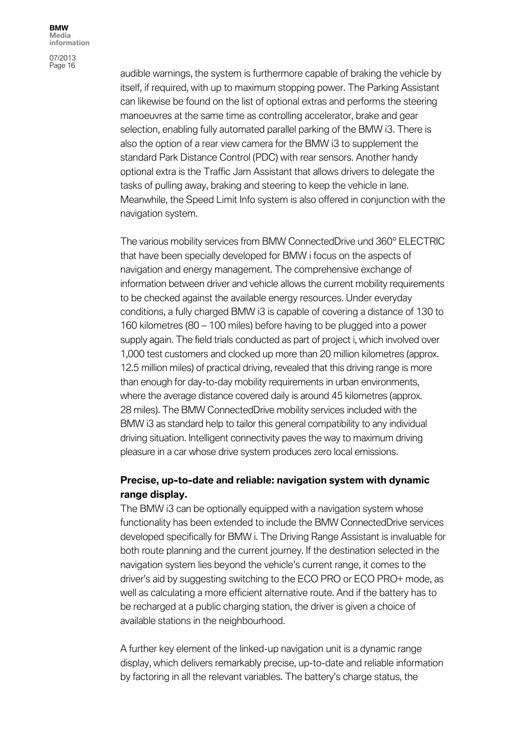07/2013 Page 16

audible warnings, the system is furthermore capable of braking the vehicle by itself, if required, with up to maximum stopping power. The Parking Assistant can likewise be found on the list of optional extras and performs the steering manoeuvres at the same time as controlling accelerator, brake and gear selection, enabling fully automated parallel parking of the BMW i3. There is also the option of a rear view camera for the BMW i3 to supplement the standard Park Distance Control (PDC) with rear sensors. Another handy optional extra is the Traffic Jam Assistant that allows drivers to delegate the tasks of pulling away, braking and steering to keep the vehicle in lane. Meanwhile, the Speed Limit Info system is also offered in conjunction with the navigation system.

The various mobility services from BMW ConnectedDrive und 360° ELECTRIC that have been specially developed for BMW i focus on the aspects of navigation and energy management. The comprehensive exchange of information between driver and vehicle allows the current mobility requirements to be checked against the available energy resources. Under everyday conditions, a fully charged BMW i3 is capable of covering a distance of 130 to 160 kilometres (80 – 100 miles) before having to be plugged into a power supply again. The field trials conducted as part of project i, which involved over 1,000 test customers and clocked up more than 20 million kilometres (approx. 12.5 million miles) of practical driving, revealed that this driving range is more than enough for day-to-day mobility requirements in urban environments, where the average distance covered daily is around 45 kilometres (approx. 28 miles). The BMW ConnectedDrive mobility services included with the BMW i3 as standard help to tailor this general compatibility to any individual driving situation. Intelligent connectivity paves the way to maximum driving pleasure in a car whose drive system produces zero local emissions.

## **Precise, up-to-date and reliable: navigation system with dynamic range display.**

The BMW i3 can be optionally equipped with a navigation system whose functionality has been extended to include the BMW ConnectedDrive services developed specifically for BMW i. The Driving Range Assistant is invaluable for both route planning and the current journey. If the destination selected in the navigation system lies beyond the vehicle's current range, it comes to the driver's aid by suggesting switching to the ECO PRO or ECO PRO+ mode, as well as calculating a more efficient alternative route. And if the battery has to be recharged at a public charging station, the driver is given a choice of available stations in the neighbourhood.

A further key element of the linked-up navigation unit is a dynamic range display, which delivers remarkably precise, up-to-date and reliable information by factoring in all the relevant variables. The battery's charge status, the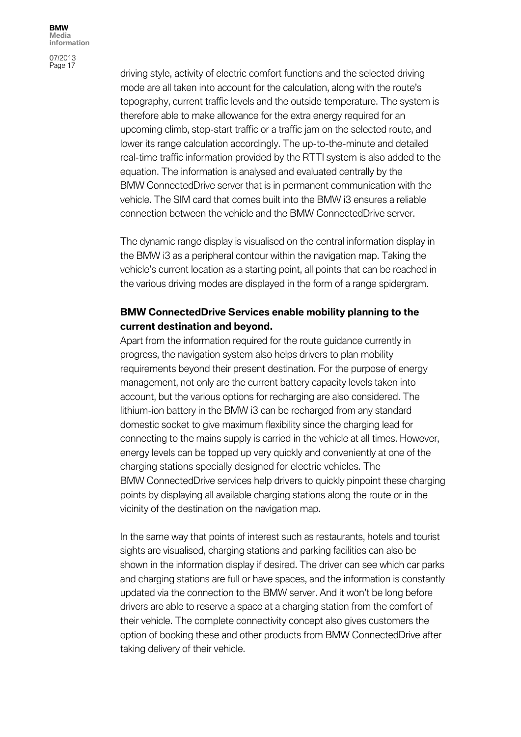07/2013 Page 17

driving style, activity of electric comfort functions and the selected driving mode are all taken into account for the calculation, along with the route's topography, current traffic levels and the outside temperature. The system is therefore able to make allowance for the extra energy required for an upcoming climb, stop-start traffic or a traffic jam on the selected route, and lower its range calculation accordingly. The up-to-the-minute and detailed real-time traffic information provided by the RTTI system is also added to the equation. The information is analysed and evaluated centrally by the BMW ConnectedDrive server that is in permanent communication with the vehicle. The SIM card that comes built into the BMW i3 ensures a reliable connection between the vehicle and the BMW ConnectedDrive server.

The dynamic range display is visualised on the central information display in the BMW i3 as a peripheral contour within the navigation map. Taking the vehicle's current location as a starting point, all points that can be reached in the various driving modes are displayed in the form of a range spidergram.

## **BMW ConnectedDrive Services enable mobility planning to the current destination and beyond.**

Apart from the information required for the route guidance currently in progress, the navigation system also helps drivers to plan mobility requirements beyond their present destination. For the purpose of energy management, not only are the current battery capacity levels taken into account, but the various options for recharging are also considered. The lithium-ion battery in the BMW i3 can be recharged from any standard domestic socket to give maximum flexibility since the charging lead for connecting to the mains supply is carried in the vehicle at all times. However, energy levels can be topped up very quickly and conveniently at one of the charging stations specially designed for electric vehicles. The BMW ConnectedDrive services help drivers to quickly pinpoint these charging points by displaying all available charging stations along the route or in the vicinity of the destination on the navigation map.

In the same way that points of interest such as restaurants, hotels and tourist sights are visualised, charging stations and parking facilities can also be shown in the information display if desired. The driver can see which car parks and charging stations are full or have spaces, and the information is constantly updated via the connection to the BMW server. And it won't be long before drivers are able to reserve a space at a charging station from the comfort of their vehicle. The complete connectivity concept also gives customers the option of booking these and other products from BMW ConnectedDrive after taking delivery of their vehicle.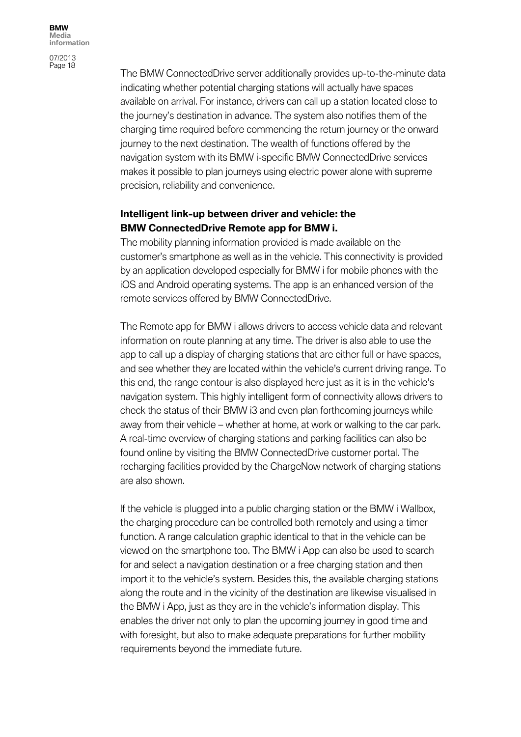07/2013 Page 18

The BMW ConnectedDrive server additionally provides up-to-the-minute data indicating whether potential charging stations will actually have spaces available on arrival. For instance, drivers can call up a station located close to the journey's destination in advance. The system also notifies them of the charging time required before commencing the return journey or the onward journey to the next destination. The wealth of functions offered by the navigation system with its BMW i-specific BMW ConnectedDrive services makes it possible to plan journeys using electric power alone with supreme precision, reliability and convenience.

### **Intelligent link-up between driver and vehicle: the BMW ConnectedDrive Remote app for BMW i.**

The mobility planning information provided is made available on the customer's smartphone as well as in the vehicle. This connectivity is provided by an application developed especially for BMW i for mobile phones with the iOS and Android operating systems. The app is an enhanced version of the remote services offered by BMW ConnectedDrive.

The Remote app for BMW i allows drivers to access vehicle data and relevant information on route planning at any time. The driver is also able to use the app to call up a display of charging stations that are either full or have spaces, and see whether they are located within the vehicle's current driving range. To this end, the range contour is also displayed here just as it is in the vehicle's navigation system. This highly intelligent form of connectivity allows drivers to check the status of their BMW i3 and even plan forthcoming journeys while away from their vehicle – whether at home, at work or walking to the car park. A real-time overview of charging stations and parking facilities can also be found online by visiting the BMW ConnectedDrive customer portal. The recharging facilities provided by the ChargeNow network of charging stations are also shown.

If the vehicle is plugged into a public charging station or the BMW i Wallbox, the charging procedure can be controlled both remotely and using a timer function. A range calculation graphic identical to that in the vehicle can be viewed on the smartphone too. The BMW i App can also be used to search for and select a navigation destination or a free charging station and then import it to the vehicle's system. Besides this, the available charging stations along the route and in the vicinity of the destination are likewise visualised in the BMW i App, just as they are in the vehicle's information display. This enables the driver not only to plan the upcoming journey in good time and with foresight, but also to make adequate preparations for further mobility requirements beyond the immediate future.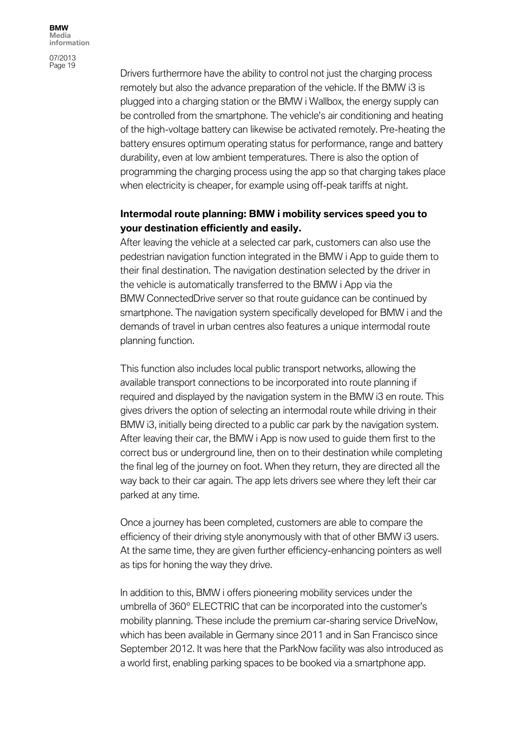07/2013 Page 19

Drivers furthermore have the ability to control not just the charging process remotely but also the advance preparation of the vehicle. If the BMW i3 is plugged into a charging station or the BMW i Wallbox, the energy supply can be controlled from the smartphone. The vehicle's air conditioning and heating of the high-voltage battery can likewise be activated remotely. Pre-heating the battery ensures optimum operating status for performance, range and battery durability, even at low ambient temperatures. There is also the option of programming the charging process using the app so that charging takes place when electricity is cheaper, for example using off-peak tariffs at night.

## **Intermodal route planning: BMW i mobility services speed you to your destination efficiently and easily.**

After leaving the vehicle at a selected car park, customers can also use the pedestrian navigation function integrated in the BMW i App to guide them to their final destination. The navigation destination selected by the driver in the vehicle is automatically transferred to the BMW i App via the BMW ConnectedDrive server so that route guidance can be continued by smartphone. The navigation system specifically developed for BMW i and the demands of travel in urban centres also features a unique intermodal route planning function.

This function also includes local public transport networks, allowing the available transport connections to be incorporated into route planning if required and displayed by the navigation system in the BMW i3 en route. This gives drivers the option of selecting an intermodal route while driving in their BMW i3, initially being directed to a public car park by the navigation system. After leaving their car, the BMW i App is now used to guide them first to the correct bus or underground line, then on to their destination while completing the final leg of the journey on foot. When they return, they are directed all the way back to their car again. The app lets drivers see where they left their car parked at any time.

Once a journey has been completed, customers are able to compare the efficiency of their driving style anonymously with that of other BMW i3 users. At the same time, they are given further efficiency-enhancing pointers as well as tips for honing the way they drive.

In addition to this, BMW i offers pioneering mobility services under the umbrella of 360° ELECTRIC that can be incorporated into the customer's mobility planning. These include the premium car-sharing service DriveNow, which has been available in Germany since 2011 and in San Francisco since September 2012. It was here that the ParkNow facility was also introduced as a world first, enabling parking spaces to be booked via a smartphone app.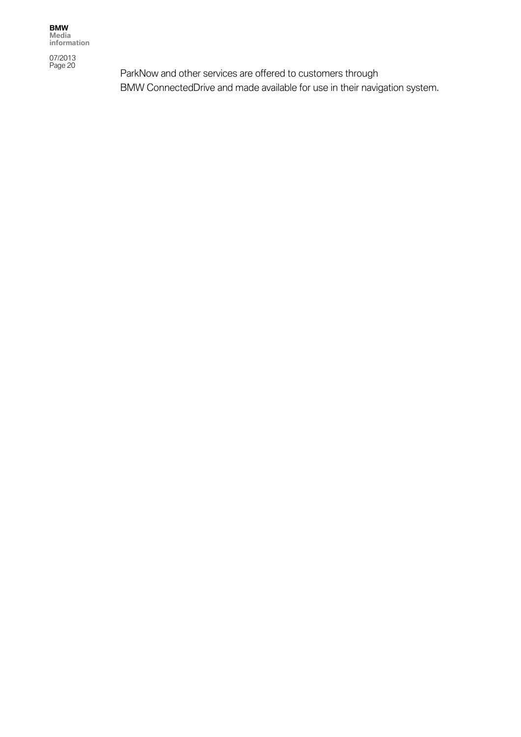07/2013 Page 20

ParkNow and other services are offered to customers through BMW ConnectedDrive and made available for use in their navigation system.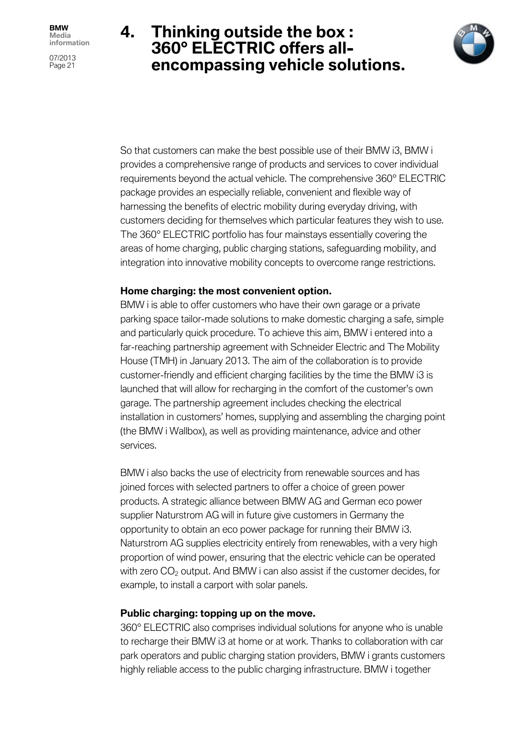07/2013 Page 21

# **4. Thinking outside the box : 360° ELECTRIC offers allencompassing vehicle solutions.**



So that customers can make the best possible use of their BMW i3, BMW i provides a comprehensive range of products and services to cover individual requirements beyond the actual vehicle. The comprehensive 360° ELECTRIC package provides an especially reliable, convenient and flexible way of harnessing the benefits of electric mobility during everyday driving, with customers deciding for themselves which particular features they wish to use. The 360° ELECTRIC portfolio has four mainstays essentially covering the areas of home charging, public charging stations, safeguarding mobility, and integration into innovative mobility concepts to overcome range restrictions.

#### **Home charging: the most convenient option.**

BMW i is able to offer customers who have their own garage or a private parking space tailor-made solutions to make domestic charging a safe, simple and particularly quick procedure. To achieve this aim, BMW i entered into a far-reaching partnership agreement with Schneider Electric and The Mobility House (TMH) in January 2013. The aim of the collaboration is to provide customer-friendly and efficient charging facilities by the time the BMW i3 is launched that will allow for recharging in the comfort of the customer's own garage. The partnership agreement includes checking the electrical installation in customers' homes, supplying and assembling the charging point (the BMW i Wallbox), as well as providing maintenance, advice and other services.

BMW i also backs the use of electricity from renewable sources and has joined forces with selected partners to offer a choice of green power products. A strategic alliance between BMW AG and German eco power supplier Naturstrom AG will in future give customers in Germany the opportunity to obtain an eco power package for running their BMW i3. Naturstrom AG supplies electricity entirely from renewables, with a very high proportion of wind power, ensuring that the electric vehicle can be operated with zero  $CO<sub>2</sub>$  output. And BMW i can also assist if the customer decides, for example, to install a carport with solar panels.

### **Public charging: topping up on the move.**

360° ELECTRIC also comprises individual solutions for anyone who is unable to recharge their BMW i3 at home or at work. Thanks to collaboration with car park operators and public charging station providers, BMW i grants customers highly reliable access to the public charging infrastructure. BMW i together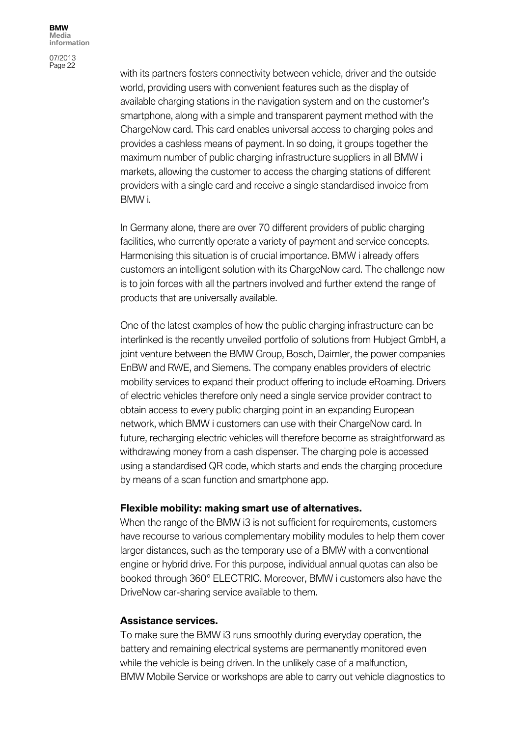07/2013 Page 22

with its partners fosters connectivity between vehicle, driver and the outside world, providing users with convenient features such as the display of available charging stations in the navigation system and on the customer's smartphone, along with a simple and transparent payment method with the ChargeNow card. This card enables universal access to charging poles and provides a cashless means of payment. In so doing, it groups together the maximum number of public charging infrastructure suppliers in all BMW i markets, allowing the customer to access the charging stations of different providers with a single card and receive a single standardised invoice from BMW i.

In Germany alone, there are over 70 different providers of public charging facilities, who currently operate a variety of payment and service concepts. Harmonising this situation is of crucial importance. BMW i already offers customers an intelligent solution with its ChargeNow card. The challenge now is to join forces with all the partners involved and further extend the range of products that are universally available.

One of the latest examples of how the public charging infrastructure can be interlinked is the recently unveiled portfolio of solutions from Hubject GmbH, a joint venture between the BMW Group, Bosch, Daimler, the power companies EnBW and RWE, and Siemens. The company enables providers of electric mobility services to expand their product offering to include eRoaming. Drivers of electric vehicles therefore only need a single service provider contract to obtain access to every public charging point in an expanding European network, which BMW i customers can use with their ChargeNow card. In future, recharging electric vehicles will therefore become as straightforward as withdrawing money from a cash dispenser. The charging pole is accessed using a standardised QR code, which starts and ends the charging procedure by means of a scan function and smartphone app.

#### **Flexible mobility: making smart use of alternatives.**

When the range of the BMW i3 is not sufficient for requirements, customers have recourse to various complementary mobility modules to help them cover larger distances, such as the temporary use of a BMW with a conventional engine or hybrid drive. For this purpose, individual annual quotas can also be booked through 360° ELECTRIC. Moreover, BMW i customers also have the DriveNow car-sharing service available to them.

#### **Assistance services.**

To make sure the BMW i3 runs smoothly during everyday operation, the battery and remaining electrical systems are permanently monitored even while the vehicle is being driven. In the unlikely case of a malfunction, BMW Mobile Service or workshops are able to carry out vehicle diagnostics to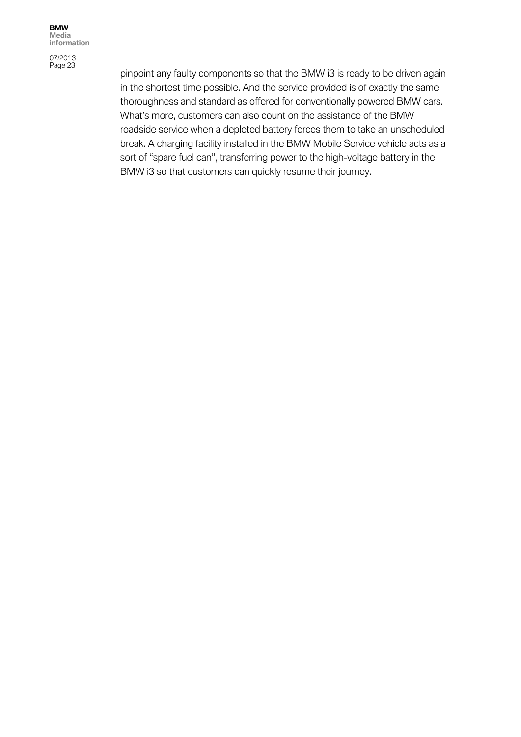pinpoint any faulty components so that the BMW i3 is ready to be driven again in the shortest time possible. And the service provided is of exactly the same thoroughness and standard as offered for conventionally powered BMW cars. What's more, customers can also count on the assistance of the BMW roadside service when a depleted battery forces them to take an unscheduled break. A charging facility installed in the BMW Mobile Service vehicle acts as a sort of "spare fuel can", transferring power to the high-voltage battery in the BMW i3 so that customers can quickly resume their journey.